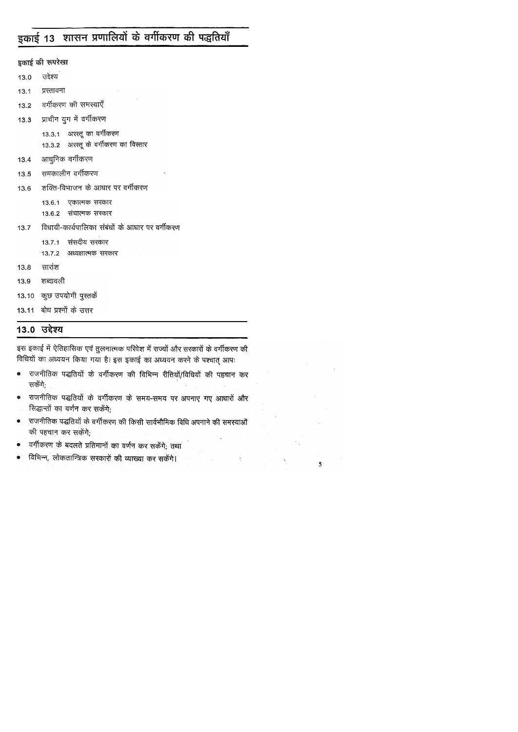# इकाई 13 शासन प्रणालियों के वर्गीकरण की पद्धतियाँ

इकाई की रूपरेखा

- उद्देश्य  $13.0$
- प्रस्तावना  $13.1$
- वर्गीकरण की समस्याएँ  $13.2$
- प्राचीन युग में वर्गीकरण  $13.3$ 
	- 13.3.1 अरस्तू का वर्गीकरण
	- 13.3.2 अरस्तू के वर्गीकरण का विस्तार
- आधुनिक वर्गीकरण  $13.4$
- समकालीन वर्गीकरण  $13.5$
- शक्ति-विभाजन के आधार पर वर्गीकरण 13.6
	- 13.6.1 एकात्मक सरकार
	- 13.6.2 संघात्मक सरकार
- विधायी-कार्यपालिका संबंधों के आधार पर वर्गीकरण  $13.7$ 
	- 13.7.1 संसदीय सरकार
	- 13.7.2 अध्यक्षात्मक सरकार
- सारांश 13.8
- शब्दावली 13.9
- 13.10 कुछ उपयोगी पुस्तकें
- 13.11 बोध प्रश्नों के उत्तर

### 13.0 उद्देश्य

इस इकाई में ऐतिहासिक एवं तुलनात्मक परिवेश में राज्यों और सरकारों के वर्गीकरण की विधियों का अध्ययन किया गया है। इस इकाई का अध्ययन करने के पश्चात् आपः

- राजनीतिक पद्धतियों के वर्गीकरण की विभिन्न रीतियों/विधियों की पहचान कर  $\pmb{\circledast}$ सकेंगे;
- राजनीतिक पद्धतियों के वर्गीकरण के समय-समय पर अपनाए गए आधारों और  $\bullet$ सिद्धान्तों का वर्णन कर सकेंगे;
- राजनीतिक पद्धतियों के वर्गीकरण की किसी सार्वभौमिक विधि अपनाने की समस्याओं  $\bullet$ की पहचान कर सकेंगे;
- वर्गीकरण के बदलते प्रतिमानों का वर्णन कर सकेंगे; तथा  $\qquad \qquad \bullet$
- विभिन्न, लोकतान्त्रिक सरकारों की व्याख्या कर सकेंगे। ۰

 $5^{\circ}$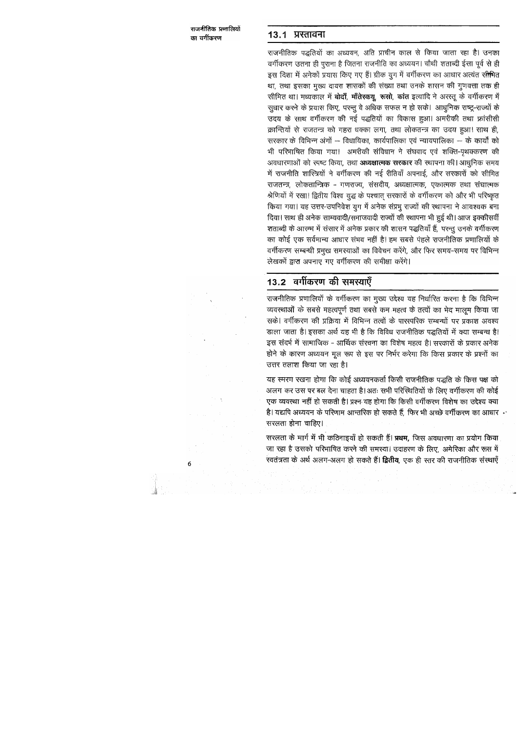### 13.1 प्रस्तावना

राजनीतिक पद्धतियों का अध्ययन, अति प्राचीन काल से किया जाता रहा है। उनका वर्गीकरण उतना ही पुराना है जितना राजनीति का अध्ययन। चौथी शताब्दी ईसा पूर्व से ही इस दिशा में अनेकों प्रयास किए गए हैं। ग्रीक युग में वर्गीकरण का आधार अत्यंत रतीमित था, तथा इसका मुख्य दायरा शासकों की संख्या तथा उनके शासन की गुणवत्ता तक ही सीमित था। मध्यकाल में **बोदाँ, माँतेस्कयू, रूसो, कांत** इत्यादि ने अरस्तू के वर्गीकरण में सुधार करने के प्रयास किए, परन्तु वे अधिक सफल न हो सके। आधुनिक राष्ट्र-राज्यों के उदय के साथ वर्गीकरण की नई पद्धतियों का विकास हुआ। अमरीकी तथा फ्रांसीसी क्रान्तियों से राजतन्त्र को गहरा धक्का लगा, तथा लोकतन्त्र का उदय हुआ। साथ ही, सरकार के विभिन्न अंगों -- विधायिका, कार्यपालिका एवं न्यायपालिका -- के कार्यों को भी परिभाषित किया गया। अमरीकी संविधान ने संघवाद एवं शक्ति-पृथक्करण की अवधारणाओं को स्पष्ट किया, तथा अध्यक्षात्मक सरकार की स्थापना की। आधुनिक समय में राजनीति शास्त्रियों ने वर्गीकरण की नई रीतियाँ अपनाई, और सरकारों को सीमित राजतन्त्र, लोकतान्त्रिक - गणराज्य, संसदीय, अध्यक्षात्मक, एकात्मक तथा संघात्मक श्रेणियों में रखा। द्वितीय विश्व युद्ध के पश्चात् सरकारों के वर्गीकरण को और भी परिष्कृत किया गया। यह उत्तर-उपनिवेश युग में अनेक संप्रभु राज्यों की स्थापना ने आवश्यक बना दिया। साथ ही अनेक साम्यवादी/समाजवादी राज्यों की स्थापना भी हुई थी। आज इक्कीसवीं शताब्दी के आरम्भ में संसार में अनेक प्रकार की शासन पद्धतियाँ हैं, परन्तु उनके वर्गीकरण का कोई एक सर्वमान्य आधार संभव नहीं है। हम सबसे पंहले राजनीतिक प्रणालियों के वर्गीकरण सम्बन्धी प्रमुख समस्याओं का विवेचन करेंगे, और फिर समय-समय पर विभिन्न लेखकों द्वारा अपनाए गए वर्गीकरण की समीक्षा करेंगे।

### 13.2 वर्गीकरण की समस्याएँ

a la propinsione della<br>Historia di Batallo del

राजनीतिक प्रणालियों के वर्गीकरण का मुख्य उद्देश्य यह निर्धारित करना है कि विभिन्न व्यवस्थाओं के सबसे महत्वपूर्ण तथा सबसे कम महत्व के तत्वों का भेद मालूम किया जा सके। वर्गीकरण की प्रक्रिया में विभिन्न तत्वों के पारस्परिक सम्बन्धों पर प्रकाश अवश्य ड़ाला जाता है। इसका अर्थ यह भी है कि विविध राजनीतिक पद्धतियों में क्या सम्बन्ध है। इस संदर्भ में सामाजिक - आर्थिक संरचना का विशेष महत्व है। सरकारों के प्रकार अनेक होने के कारण अध्ययन मूल रूप से इस पर निर्भर करेगा कि किस प्रकार के प्रश्नों का उत्तर तलाश किया जा रहा है।

यह स्मरण रखना होगा कि कोई अध्ययनकर्ता किसी राजनीतिक पद्धति के किस पक्ष को अलग कर उस पर बल देना चाहता है। अतः सभी परिस्थितियों के लिए वर्गीकरण की कोई एक व्यवस्था नहीं हो सकती है। प्रश्न यह होगा कि किसी वर्गीकरण विशेष का उद्देश्य क्या है। यद्यपि अध्ययन के परिणाम आन्तरिक हो सकते हैं, फिर भी अच्छे वर्गीकरण का आधार सरलता होना चाहिए।

सरलता के मार्ग में भी कठिनाइयाँ हो सकती हैं। प्रथम, जिस अवधारणा का प्रयोग किया जा रहा है उसको परिभाषित करने की समस्या। उदाहरण के लिए, अमेरिका और रूस में स्वतंत्रता के अर्थ अलग-अलग हो सकते हैं। **द्वितीय**, एक ही स्तर की राजनीतिक संस्थाएँ

-6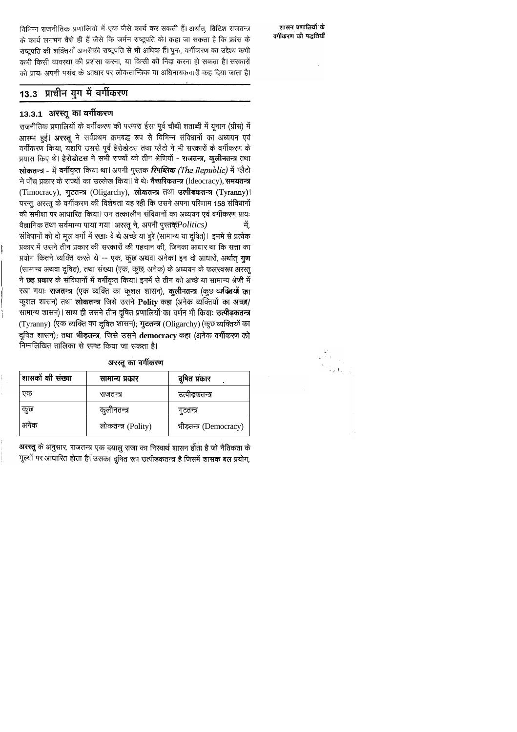विभिन्न राजनीतिक प्रणालियों में एक जैसे कार्य कर सकती हैं। अर्थात्, ब्रिटिश राजतन्त्र के कार्य लगभग वैसे ही हैं जैसे कि जर्मन राष्ट्रपति के। कहा जा सकता है कि फ्रांस के राष्ट्रपति की शक्तियाँ अमरीकी राष्ट्रपति से भी अधिक हैं। पुनः, वर्गीकरण का उद्देश्य कभी कभी किसी व्यवस्था की प्रशंसा करना, या किसी की निंदा करना हो सकता है। सरकारों को प्रायः अपनी पसंद के आधार पर लोकतान्त्रिक या अधिनायकवादी कह दिया जाता है।

## 13.3 प्राचीन युग में वर्गीकरण

### 13.3.1 अरस्तू का वर्गीकरण

राजनीतिक प्रणालियों के वर्गीकरण की परम्परा ईसा पूर्व चौथी शताब्दी में यूनान (ग्रीस) में आरम्भ हुई। अरस्तू ने सर्वप्रथम क्रमबद्ध रूप से विभिन्न संविधानों का अध्ययन एवं वर्गीकरण किया, यद्यपि उससे पूर्व हेरोडोटस तथा प्लैटो ने भी सरकारों के वर्गीकरण के प्रयास किए थे। हेरोडोटस ने सभी राज्यों को तीन श्रेणियों - राजतन्त्र, कुलीनतन्त्र तथा लोकतन्त्र - में वर्गीकृत किया था। अपनी पुस्तक रिपब्लिक (The Republic) में प्लैटो ने पाँच प्रकार के राज्यों का उल्लेख किया। वे थेः वैचारिकतन्त्र (Ideocracy), समयतन्त्र (Timocracy), गुटतन्त्र (Oligarchy), लोकतन्त्र तथा उत्पीडकतन्त्र (Tyranny)। परन्तु, अरस्तू के वर्गीकरण की विशेषता यह रही कि उसने अपना परिणाम 158 संविधानों की समीक्षा पर आधारित किया। उन तत्कालीन संविधानों का अध्ययन एवं वर्गीकरण प्रायः वैज्ञानिक तथा सर्वमान्य पाया गया। अरस्तू ने, अपनी पुस्तक् $Politics$  ) में. संविधानों को दो मूल वर्गों में रखाः वे थे अच्छे या बुरे (सामान्य या दूषित)। इनमे से प्रत्येक प्रकार में उसने तीन प्रकार की सरकारों की पहचान की, जिनका आधार था कि सत्ता का प्रयोग कितने व्यक्ति करते थे -- एक, कुछ अथवा अनेक। इन दो आधारों, अर्थात् गुण (सामान्य अथवा दूषित), तथा संख्या (एक, कुछ, अनेक) के अध्ययन के फलस्वरूप अरस्तू ने छह प्रकार के संविधानों में वर्गीकृत किया। इनमें से तीन को अच्छे या सामान्य श्रेणी में रखा गयाः राजतन्त्र (एक व्यक्ति का कुशल शासन), कुलीनतन्त्र (कुछ व्यक्तियों का कुशल शासन) तथा लोकतन्त्र जिसे उसने Polity कहा (अनेक व्यक्तियों का अच्छा/ सामान्य शासन)। साथ ही उसने तीन दूषित प्रणालियों का वर्णन भी कियाः उ**त्पीड़कतन्त्र** (Tyranny) (एक व्यक्ति का दूषित शासन); गुटतन्त्र (Oligarchy) (कुछ व्यक्तियों का दूषित शासन); तथा भीड़तन्त्र, जिसे उसने democracy कहा (अनेक वर्गीकरण को निम्नलिखित तालिका से स्पष्ट किया जा सकता है।

|  | अरस्तू का वर्गीकरण |
|--|--------------------|
|--|--------------------|

| शासकों की संख्या | सामान्य प्रकार     | दूषित प्रकार           |
|------------------|--------------------|------------------------|
| एक               | राजतन्त्र          | उत्पीड़कतन्त्र         |
| कुछ              | कुलीनतन्त्र        | गुटतन्त्र              |
| अनक              | लोकतन्त्र (Polity) | भीड़तन्त्र (Democracy) |

अरस्तू के अनुसार, राजतन्त्र एक दयालु राजा का निस्वार्थ शासन होता है जो नैतिकता के मूल्यों पर आधारित होता है। उसका दूषित रूप उत्पीड़कतन्त्र है जिसमें शासक बल प्रयोग,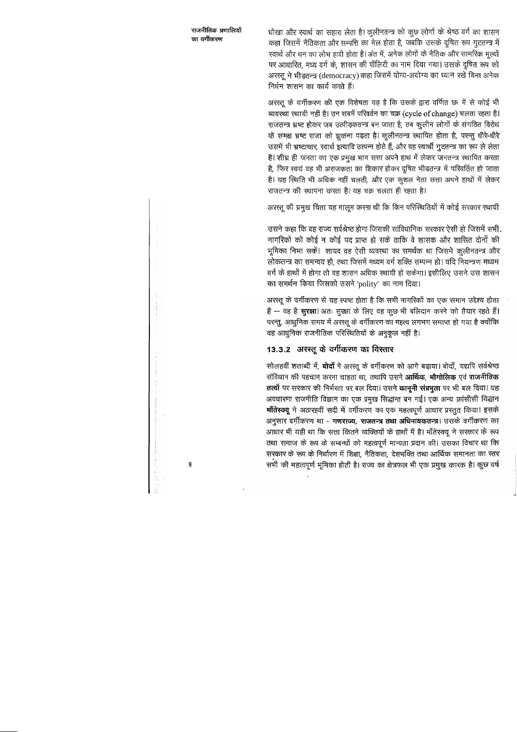धोखा और स्वार्थ का सहारा लेता है। कुलीनतन्त्र को कुछ लोगों के श्रेष्ठ वर्ग का शासन कहा जिसमें नैतिकता और सम्पत्ति का मेल होता है, जबकि उसके दूषित रूप गुटतन्त्र में स्वार्थ और धन का लोभ हावी होता है। अंत में, अनेक लोगों के नैतिक और सामरिक मूल्यों पर आधारित, मध्य वर्ग के, शासन की पॉलिटी का नाम दिया गया। उसके दूषित रूप को अरस्तू ने भीड़तन्त्र (democracy) कहा जिसमें योग्य-अयोग्य का ध्यान रखे बिना अनेक निर्धन शासन का कार्य करते हैं।

अरस्तू के वर्गीकरण की एक विशेषता यह है कि उसके द्वारा वर्णित छः में से कोई भी व्यवस्था स्थायी नहीं है। उन सबमें परिवर्तन का चक्र (cycle of change) चलता रहता है। राजतन्त्र भ्रष्ट होकर जब उत्पीड़कतन्त्र बन जाता है, तब कुलीन लोगों के संगठित विरोध के समक्ष भ्रष्ट राजा को झुकना पड़ता है। कुलीनतन्त्र स्थापित होता है, परन्तु धीरे-धीरे उसमें भी भ्रष्टाचार, स्वार्थ इत्यादि उत्पन्न होते हैं, और वह स्वार्थी गुटतन्त्र का रूप ले लेता है। शीघ्र ही जनता का एक प्रमुख भाग सत्ता अपने हाथ में लेकर जनतन्त्र स्थापित करता है, फिर स्वयं वह भी अराजकता का शिकार होकर दूषित भीड़तन्त्र में परिवर्तित हो जाता है। यह स्थिति भी अधिक नहीं चलती, और एक कुशल नेता सत्ता अपने हाथों में लेकर राजतन्त्र की स्थापना करता है। यह चक्र चलता ही रहता है।

अरस्तू की प्रमुख चिंता यह मालूम करना थी कि किन परिस्थितियों में कोई सरकार स्थायी

उसने कहा कि वह राज्य सर्वश्रेष्ठ होगा जिसकी सांविधानिक सरकार ऐसी हो जिसमें सभी. नागरिकों को कोई न कोई पद प्राप्त हो सके ताकि वे शासक और शासित दोनों की भूमिका निभा सकें। शायद वह ऐसी व्यवस्था का समर्थक था जिसमे कुलीनतन्त्र और लोकतन्त्र का समन्वय हो, तथा जिसमें मध्यम वर्ग शक्ति सम्पन्न हो। यदि नियन्त्रण मध्यम वर्ग के हाथों में होगा तो वह शासन अधिक स्थायी हो सकेगा। इसीलिए उसने उस शासन का समर्थन किया जिसको उसने 'polity' का नाम दिया।

अरस्तू के वर्गीकरण से यह स्पष्ट होता है कि सभी नागरिकों का एक समान उद्देश्य होता है -- वह है सुरक्षा। अतः सुरक्षा के लिए वह कुछ भी बलिदान करने को तैयार रहते हैं। परन्तु, आधुनिक समय में अरस्तू के वर्गीकरण का महत्व लगभग समाप्त हो गया है क्योंकि वह आधुनिक राजनीतिक परिस्थितियों के अनुकूल नहीं है।

## 13.3.2 अरस्तू के वर्गीकरण का विस्तार

सोलहवीं शताब्दी में, **बोदाँ** ने अरस्तू के वर्गीकरण को आगे बढ़ाया। बोदाँ, यद्यपि सर्वश्रेष्ठ संविधान की पहचान करना चाहता था, तथापि उसने आर्थिक, भौगोलिक एवं राजनीतिक तत्वों पर सरकार की निर्भरता पर बल दिया। उसने कानूनी संप्रभुता पर भी बल दिया। यह अवधारणा राजनीति विज्ञान का एक प्रमुख सिद्धान्त बन गई। एक अन्य फ्रांसीसी विद्धान मॉंतेस्क्यू ने अठारहवीं सदी में वर्गीकरण का एक महत्वपूर्ण आधार प्रस्तुत किया। इसके अनुसार वर्गीकरण था - गणराज्य, राजतन्त्र तथा अधिनायकतन्त्र। उसके वर्गीकरण का आधार भी यही था कि सत्ता कितने व्यक्तियों के हाथों में है। माँतेस्क्यू ने सरकार के रूप तथा समाज के रूप के सम्बन्धों को महत्वपूर्ण मान्यता प्रदान की। उसका विचार था कि सरकार के रूप के निर्धारण में शिक्षा, नैतिकता, देशभक्ति तथा आर्थिक समानता का स्तर सभी की महत्वपूर्ण भूमिका होती है। राज्य का क्षेत्रफल भी एक प्रमुख कारक है। कुछ वर्ष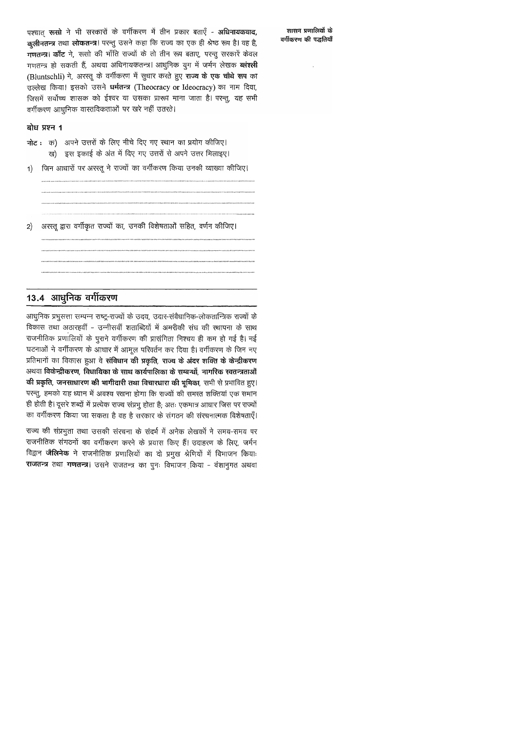पश्चात रूसो ने भी सरकारों के वर्गीकरण में तीन प्रकार बताएँ - अधिनायकवाद, कलीनतन्त्र तथा लोकतन्त्र। परन्तु उसने कहा कि राज्य का एक ही श्रेष्ठ रूप है। वह है, गणतन्त्र। काँट ने, रूसो की भाँति राज्यों के तो तीन रूप बताए, परन्तु सरकारें केवल गणतन्त्र हो सकती हैं, अथवा अधिनायकतन्त्र। आधुनिक युग में जर्मन लेखक **ब्लंश्ली** (Bluntschli) ने, अरस्तू के वर्गीकरण में सुधार करते हुए राज्य के एक चौथे रूप का उल्लेख किया। इसको उसने धर्मतन्त्र (Theocracy or Ideocracy) का नाम दिया, जिसमें सर्वोच्च शासक को ईश्वर या उसका प्रारूप माना जाता है। परन्तु, यह सभी वर्गीकरण आधूनिक वास्तविकताओं पर खरे नहीं उतरते।

### बोध प्रश्न 1

नोट: क) अपने उत्तरों के लिए नीचे दिए गए स्थान का प्रयोग कीजिए।

- ख) इस इकाई के अंत में दिए गए उत्तरों से अपने उत्तर मिलाइए।
- जिन आधारों पर अरस्तू ने राज्यों का वर्गीकरण किया उनकी व्याख्या कीजिए।  $\vert$  1)

अरस्तू द्वारा वर्गीकृत राज्यों का, उनकी विशेषताओं सहित, वर्णन कीजिए  $|2\rangle$ 

## 13.4 आधुनिक वर्गीकरण

आधुनिक प्रभुसत्ता सम्पन्न राष्ट्र-राज्यों के उदय, उदार-संवैधानिक-लोकतान्त्रिक राज्यों के विकास तथा अठारहवीं - उन्नीसवीं शताब्दियों में अमरीकी संघ की स्थापना के साथ राजनीतिक प्रणालियों के पुराने वर्गीकरण की प्रासंगिता निश्चय ही कम हो गई है। नई घटनाओं ने वर्गीकरण के आधार में आमूल परिवर्तन कर दिया है। वर्गीकरण के जिन नए प्रतिमानों का विकास हुआ वे **संविधान की प्रकृति, राज्य के अंदर शक्ति के केन्द्रीकरण** अथवा विकेन्द्रीकरण, विधायिका के साथ कार्यपालिका के सम्बन्धों, नागरिक खतन्त्रताओं की प्रकृति, जनसाधारण की भागीदारी तथा विचारधारा की भूमिका, सभी से प्रभावित हुए। परन्तु, हमको यह ध्यान में अवश्य रखना होगा कि राज्यों की समस्त शक्तियां एक समान ही होती है। दूसरे शब्दों में प्रत्येक राज्य संप्रभु होता है; अतः एकमात्र आधार जिस पर राज्यों का वर्गीकरण किया जा सकता है वह है सरकार के संगठन की संरचनात्मक विशेषताएँ।

राज्य की संप्रभुता तथा उसकी संरचना के संदर्भ में अनेक लेखकों ने समय-समय पर राजनीतिक संगठनों का वर्गीकरण करने के प्रयास किए हैं। उदाहरण के लिए, जर्मन विद्वान **जैलिनेक** ने राजनीतिक प्रणालियों का दो प्रमुख श्रेणियों में विभाजन कियाः राजतन्त्र तथा गणतन्त्र। उसने राजतन्त्र का पुनः विभाजन किया - वंशानुगत अथवा

शासन प्रणालियों के वर्गीकरण की पद्धतियाँ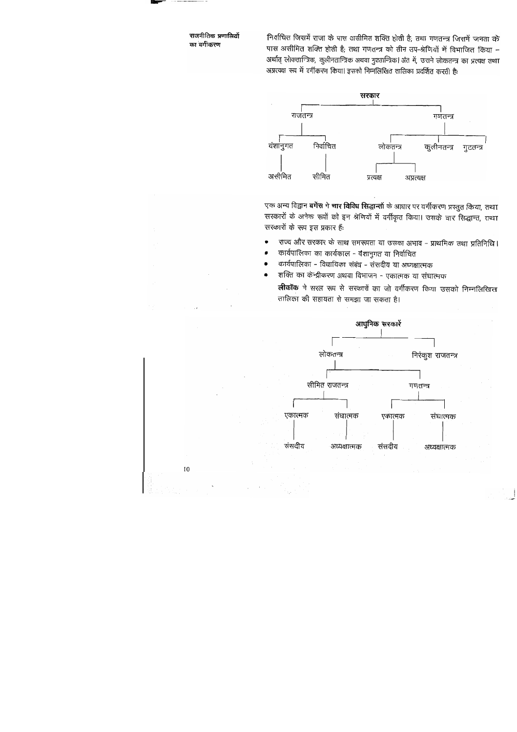निर्वाचित जिसमें राजा के पास असीमित शक्ति होती है; तथा गणतन्त्र जिसमें जनता के पास असीमित शक्ति होती है; तथा गणतन्त्र को तीन उप-श्रेणियों में विभाजित किया -अर्थात् लोकतान्त्रिक, कुलीनतान्त्रिक अथवा गुटतान्त्रिक। अंत में, उसने लोकतन्त्र का प्रत्यक्ष तथा अप्रत्यक्ष रूप में वर्गीकरण किया। इसको निम्नलिखित तालिका प्रदर्शित करती हैः



एक अन्य विद्वान **बर्गेस ने चार विविध सिद्धान्तों** के आधार पर वर्गीकरण प्रस्तुत किया, तथा सरकारों के अनेक रूपों को इन श्रेणियों में वर्गीकृत किया। उसके चार सिद्धान्त, तथ्या सरकारों के रूप इस प्रकार हैं:

- राज्य और सरकार के साथ समरूपता या उसका अभाव प्राथमिक तथा प्रतिनिधि।
- कार्यपालिका का कार्यकाल वंशानुगत या निर्वाचित
- कार्यपालिका विधायिका संबंध संसदीय या अध्यक्षात्मक
- शक्ति का केन्द्रीकरण अथवा विभाजन एकात्मक या संघात्मक

**लीकॉक** ने सरल रूप से सरकारों का जो वर्गीकरण किया उसको निम्नलिखित्त तालिका की सहायता से समझा जा सकता है।

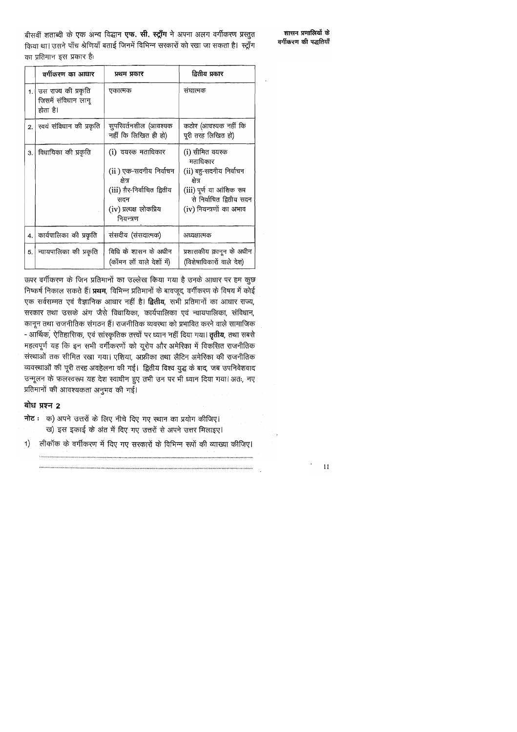बीसवीं शताब्दी के एक अन्य विद्धान एफ. सी. स्ट्राँग ने अपना अलग वर्गीकरण प्रस्तुत किया था। उसने पाँच श्रेणियाँ बताई जिनमें विभिन्न सरकारों को रखा जा सकता है। स्ट्राँग का प्रतिमान इस प्रकार है:

शासन प्रणालियों के वर्गीकरण की पद्धतियाँ

|    | वर्गीकरण का आधार                                       | प्रथम प्रकार                                                                                                                            | द्वितीय प्रकार                                                                                                                                        |
|----|--------------------------------------------------------|-----------------------------------------------------------------------------------------------------------------------------------------|-------------------------------------------------------------------------------------------------------------------------------------------------------|
| 1. | उस राज्य की प्रकृति<br>जिसमें संविधान लागू<br>होता है। | एकात्मक                                                                                                                                 | संघात्मक                                                                                                                                              |
| 2. | स्वयं संविधान की प्रकृति                               | सुपरिवर्तनशील (आवश्यक<br>नहीं कि लिखित ही हो)                                                                                           | कठोर (आवश्यक नहीं कि<br>पूरी तरह लिखित हो)                                                                                                            |
| 3. | विधायिका की प्रकृति                                    | (i) वयस्क मताधिकार<br>(ii ) एक-सदनीय निर्वाचन<br>क्षेत्र<br>(iii) ग़ैर-निर्वाचित द्वितीय<br>सदन<br>(iv) प्रत्यक्ष लोकप्रिय<br>नियन्त्रण | (i) सीमित वयस्क<br>मताधिकार<br>(ii) बहु-सदनीय निर्वाचन<br>क्षेत्र<br>(iii) पूर्ण या आंशिक रूप<br>से निर्वाचित द्वितीय सदन<br>(iv) नियन्त्रणों का अभाव |
| 4. | कार्यपालिका की प्रकृति                                 | संसदीय (संसदात्मक)                                                                                                                      | अध्यक्षात्मक                                                                                                                                          |
| 5. | न्यायपालिका की प्रकृति                                 | विधि के शासन के अधीन<br>(कॉमन लॉ वाले देशों में)                                                                                        | प्रशासकीय क़ानून के अधीन<br>(विशेषाधिकारों वाले देश)                                                                                                  |

ऊपर वर्गीकरण के जिन प्रतिमानों का उल्लेख किया गया है उनके आधार पर हम कुछ निष्कर्ष निकाल सकते हैं। प्रथम, विभिन्न प्रतिमानों के बावजूद, वर्गीकरण के विषय में कोई एक सर्वसम्मत एवं वैज्ञानिक आधार नहीं है। द्वितीय, सभी प्रतिमानों का आधार राज्य, सरकार तथा उसके अंग जैसे विधायिका, कार्यपालिका एवं न्यायपालिका, संविधान, कानून तथा राजनीतिक संगठन हैं। राजनीतिक व्यवस्था को प्रभावित करने वाले सामाजिक - आर्थिक, ऐतिहासिक, एवं सांस्कृतिक तत्त्वों पर ध्यान नहीं दिया गया। **तृतीय**, तथा सबसे महत्वपूर्ण यह कि इन सभी वर्गीकरणों को यूरोप और अमेरिका में विकसित राजनीतिक संस्थाओं तक सीमित रखा गया। एशिया, अफ्रीका तथा लैटिन अमेरिका की राजनीतिक व्यवस्थाओं की पूरी तरह अवहेलना की गई। द्वितीय विश्व युद्ध के बाद, जब उपनिवेशवाद उन्मूलन के फलस्वरूप यह देश स्वाधीन हुए तभी उन पर भी ध्यान दिया गया। अतः, नए प्रतिमानों की आवश्यकता अनुभव की गई।

### बोध प्रश्न 2

- नोट: क) अपने उत्तरों के लिए नीचे दिए गए स्थान का प्रयोग कीजिए। ख) इस इकाई के अंत में दिए गए उत्तरों से अपने उत्तर मिलाइए।
- लीकॉक के वर्गीकरण में दिए गए सरकारों के विभिन्न रूपों की व्याख्या कीजिए।  $\left| \right|$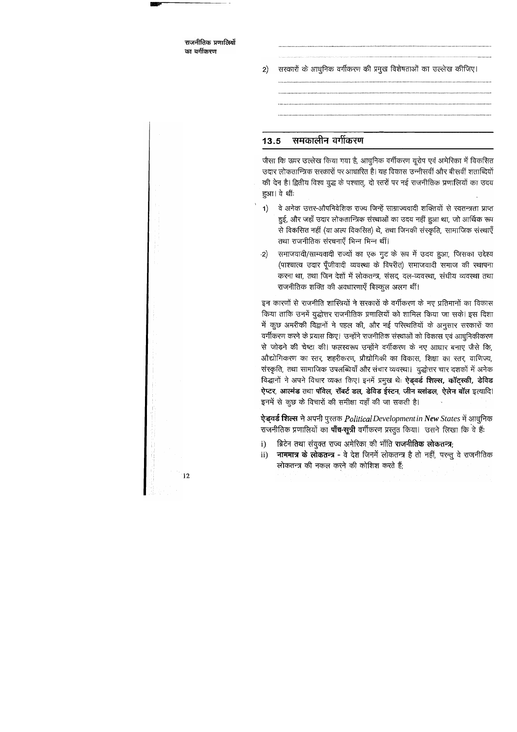सरकारों के आधुनिक वर्गीकरण की प्रमुख विशेषताओं का उल्लेख कीजिए।  $|2\rangle$ 

#### समकालीन वर्गीकरण 13.5

जैसा कि ऊपर उल्लेख किया गया है, आधुनिक वर्गीकरण यूरोप एवं अमेरिका में विकसित उदार लोकतान्त्रिक सरकारों पर आधारित है। यह विकास उन्नीसवीं और बीसवीं शताब्दियों की देन है। द्वितीय विश्व युद्ध के पश्चात्, दो स्तरों पर नई राजनीतिक प्रणालियों का उदय हुआ। वे थीं:

- वे अनेक उत्तर-औपनिवेशिक राज्य जिन्हें साम्राज्यवादी शक्तियों से स्वतन्त्रता प्राप्त  $\left( \mathbf{1}\right)$ हुई, और जहाँ उदार लोकतान्त्रिक संस्थाओं का उदय नहीं हुआ था, जो आर्थिक रूप से विकसित नहीं (या अल्प विकसित) थे, तथा जिनकी संस्कृति, सामाजिक संस्थाएँ तथा राजनीतिक संरचनाएँ भिन्न भिन्न थीं।
- समाजवादी/साम्यवादी राज्यों का एक गुट के रूप में उदय हुआ, जिसका उद्देश्य  $\cdot$ 2 (पाश्चात्य उदार पूँजीवादी व्यवस्था के विपरीत) समाजवादी समाज की स्थापना करना था, तथा जिन देशों में लोकतन्त्र, संसद, दल-व्यवस्था, संघीय व्यवस्था तथा राजनीतिक शक्ति की अवधारणाएँ बिल्कुल अलग थीं।

इन कारणों से राजनीति शास्त्रियों ने सरकारों के वर्गीकरण के नए प्रतिमानों का विकास किया ताकि उनमें युद्धोत्तर राजनीतिक प्रणालियों को शामिल किया जा सके। इस दिशा में कुछ अमरीकी विद्वानों ने पहल की, और नई परिस्थतियों के अनुसार सरकारों का वर्गीकरण करने के प्रयास किए। उन्होंने राजनीतिक संस्थाओं को विकास एवं आधुनिकीकरण से जोड़ने की चेष्टा की। फलस्वरूप उन्होंने वर्गीकरण के नए आधार बनाए जैसे कि, औद्योगिकरण का स्तर, शहरीकरण, प्रौद्योगिकी का विकास, शिक्षा का स्तर, वाणिज्य, संस्कृति, तथा सामाजिक उपलब्धियाँ और संचार व्यवस्था। युद्धोत्तर चार दशकों में अनेक विद्धानों ने अपने विचार व्यक्त किए। इनमें प्रमुख थेः ऐड्वर्ड शिल्स, कॉट्स्की, डेविड ऐप्टर, आत्मंड तथा पॉवेल, रॉबर्ट डल, डेविड ईस्टन, जीन ब्लांडल, ऐलेन बॉल इत्यादि। इनमें से कुछ के विचारों की समीक्षा यहाँ की जा सकती है।

ऐड्वर्ड शिल्स ने अपनी पुस्तक Political Development in New States में आधुनिक राजनीतिक प्रणालियों का **पाँच-सूत्री** वर्गीकरण प्रस्तुत किया। उसने लिखा कि वे हैं:

- ब्रिटेन तथा संयुक्त राज्य अमेरिका की भाँति राजनीतिक लोकतन्त्र;  $\mathbf{i}$
- नाममात्र के लोकतन्त्र वे देश जिनमें लोकतन्त्र है तो नहीं, परन्तु वे राजनीतिक  $ii)$ लोकतन्त्र की नकल करने की कोशिश करते हैं;

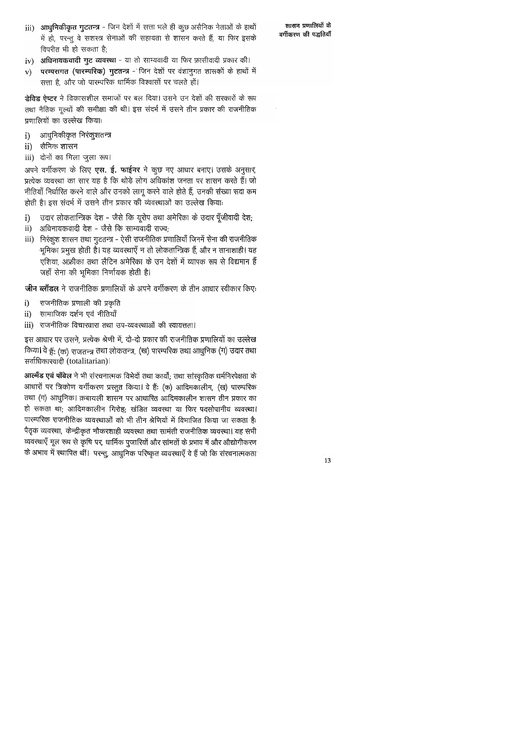्**आधुनिकीकृत गुटतन्त्र** - जिन देशों में सत्ता भले ही कुछ असैनिक नेताओं के हाथों iii) में हो, परन्तु वे सशस्त्र सेनाओं की सहायता से शासन करते हैं, या फिर इसके विपरीत भी हो सकता है;

- अधिनायकवादी गुट व्यवस्था या तो साम्यवादी या फिर फ़ासीवादी प्रकार की।  $iv)$
- परम्परागत (पारम्परिक) गुटतन्त्र जिन देशों पर वंशानुगत शासकों के हाथों में  $\mathbf{v})$ सत्ता है, और जो पारम्परिक धार्मिक विश्वासों पर चलते हों।

डेविड ऐप्टर ने विकासशील समाजों पर बल दिया। उसने उन देशों की सरकारों के रूप तथा नैतिक मूल्यों की समीक्षा की थी। इस संदर्भ में उसने तीन प्रकार की राजनीतिक प्रणालियों का उल्लेख किया:

- आधुनिकीकृत निरंकुशतन्त्र  $\mathbf{i}$
- सैनिक शासन  $\mathbf{ii}$
- iii) दोनों का मिला जुला रूप।

अपने वर्गीकरण के लिए एस. ई. फाईनर ने कुछ नए आधार बनाए। उसके अनुसार, प्रत्येक व्यवस्था का सार यह है कि थोड़े लोग अधिकांश जनता पर शासन करते हैं। जो नीतियाँ निर्धारित करने वाले और उनको लागू करने वाले होते हैं, उनकी संख्या सदा कम होती है। इस संदर्भ में उसने तीन प्रकार की व्यंवस्थाओं का उल्लेख किया:

- उदार लोकतान्त्रिक देश जैसे कि यूरोप तथा अमेरिका के उदार पूँजीवादी देश;  $\bf{1}$
- अधिनायकवादी देश जैसे कि साम्यवादी राज्य;  $ii)$
- iii) निरंकुश शासन तथा गुटतन्त्र ऐसी राजनीतिक प्रणालियाँ जिनमें सेना की राजनीतिक -भूमिका प्रमुख होती है। यह व्यवस्थाएँ न तो लोकतान्त्रिक हैं, और न तानाशाही। यह एशिया, अफ्रीका तथा लैटिन अमेरिका के उन देशों में व्यापक रूप से विद्यमान हैं जहाँ सेना की भूमिका निर्णायक होती है।

जीन ब्लॉंडल ने राजनीतिक प्रणालियों के अपने वर्गीकरण के तीन आधार स्वीकार किए:

- राजनीतिक प्रणाली की प्रकृति  $\bf i)$
- सामाजिक दर्शन एवं नीतियाँ  $\mathbf{ii}$
- राजनीतिक विचारधारा तथा उप-व्यवस्थाओं की स्वायत्तता। iii)

इस आधार पर उसने, प्रत्येक श्रेणी में, दो-दो प्रकार की राजनीतिक प्रणालियों का उल्लेख किया। वे हैं: (क) राजतन्त्र तथा लोकतन्त्र, (ख) पारम्परिक तथा आधुनिक (ग) उदार तथा सर्वाधिकारवादी (totalitarian)।

आल्मँड एवं पॉवेल ने भी संरचनात्मक विभेदों तथा कार्यों; तथा सांस्कृतिक धर्मनिरपेक्षता के आधारों पर त्रिकोण वर्गीकरण प्रस्तुत किया। वे हैं: (क) आदिमकालीन, (ख) पारम्परिक तथा (ग) आधुनिक। क़बायली शासन पर आधारित आदिमकालीन शासन तीन प्रकार का हो सकता था; आदिमकालीन गिरोह; खंडित व्यवस्था या फिर पदसोपानीय व्यवस्था। पारम्परिक राजनीतिक व्यवस्थाओं को भी तीन श्रेणियों में विभाजित किया जा सकता है: पैतृक व्यवस्था, केन्द्रीकृत नौकरशाही व्यवस्था तथा सामंती राजनीतिक व्यवस्था। यह संभी व्यवस्थाएँ मूल रूप से कृषि पर, धार्मिक पुजारियों और सांमतों के प्रभाव में और औद्योगीकरण के अभाव में स्थापित थीं। परन्तु, आधुनिक परिष्कृत व्यवस्थाएँ वे हैं जो कि संरचनात्मकता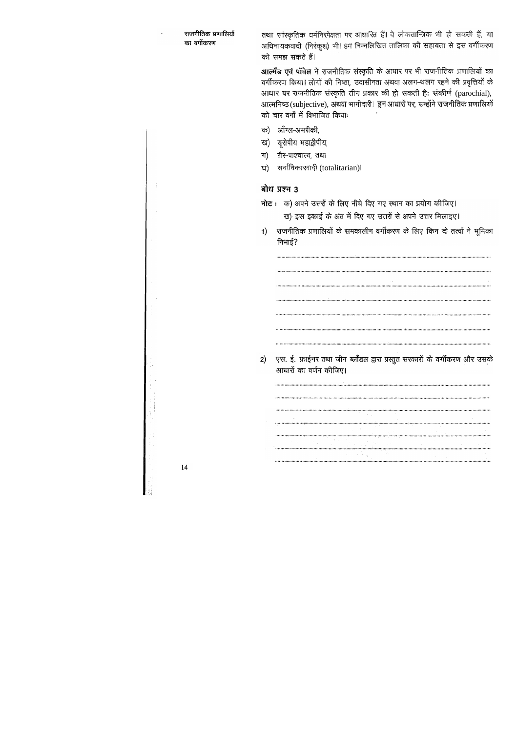तथा सांस्कृतिक धर्मनिरपेक्षता पर आधारित हैं। वे लोकतान्त्रिक भी हो सकती हैं, या अधिनायकवादी (निरंकुश) भी। हम निम्नलिखित तालिका की सहायता से इस वर्गीकरण को समझ सकते हैं।

आल्मँड एवं पॉवेल ने राजनीतिक संस्कृति के आधार पर भी राजनीतिक प्रणालियों का वर्गीकरण किया। लोगों की निष्ठा, उदासीनता अथवा अलग-थलग रहने की प्रवृत्तियों के आधार पर राजनीतिक संस्कृति तीन प्रकार की हो सकती है: संकीर्ण (parochial), आत्मनिष्ठ (subjective), अथवा भागीदारी। इन आधारों पर, उन्होंने राजनीतिक प्रणालियों को चार वर्गों में विभाजित कियाः

- क) ऑॅंग्ल-अमरीकी,
- ख) यूरोपीय महाद्वीपीय,
- ग़ैर-पाश्चात्य, तथा ग)
- सर्वाधिकारवादी (totalitarian)| ਬ)

### बोध प्रश्न 3

- नोट: क) अपने उत्तरों के लिए नीचे दिए गए स्थान का प्रयोग कीजिए। ख) इस इकाई के अंत में दिए गए उत्तरों से अपने उत्तर मिलाइए।
- 1) राजनीतिक प्रणालियों के समकालीन वर्गीकरण के लिए किन दो तत्वों ने भूमिका निभाई?

एस. ई. फ़ाईनर तथा जीन ब्लाँडल द्वारा प्रस्तुत सरकारों के वर्गीकरण और उसके  $2)$ आधारों का वर्णन कीजिए।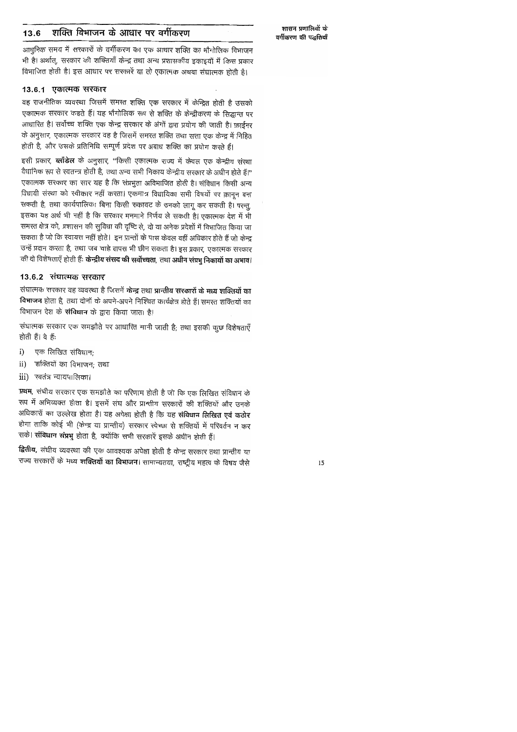#### शक्ति विभाजन के आधार पर वर्गीकरण 13.6

आधुनिक समय में सरकारों के वर्गीकरण का एक आधार शक्ति का भौगोलिक विभाजन भी है। अर्थात्, सरकार की शक्तियाँ केन्द्र तथा अन्य प्रशासकीय इकाइयों में किस प्रकार विभाजित होती है। इस आधार पर सरकारें या तो एकात्मक अथवा संघात्मक होती है।

### 13.6.1 एकात्मक सरकार

वह राजनीतिक व्यवस्था जिसमें समस्त शक्ति एक सरकार में केन्द्रित होती है उसको एकात्मक सरकार कहते हैं। यह भौगोलिक रूप से शक्ति के केन्द्रीकरण के सिद्धान्त पर आधारित है। सर्वोच्च शक्ति एक केन्द्र सरकार के अंगों द्वारा प्रयोग की जाती है। फ़ाईनर के अनुसार, एकात्मक सरकार वह है जिसमें समस्त शक्ति तथा सत्ता एक केन्द्र में निहित होती है, और उसके प्रतिनिधि सम्पूर्ण प्रदेश पर अबाध शक्ति का प्रयोग करते हैं।

इसी प्रकार, ब्लॉंडेल के अनुसार, "किसी एकात्मक राज्य में केवल एक केन्द्रीय संस्था वैधानिक रूप से स्वतन्त्र होती है, तथा अन्य सभी निकाय केन्द्रीय सरकार के अधीन होते हैं।" एकात्मक सरकार का सार यह है कि संप्रभुता अविभाजित होती है। संविधान किसी अन्य विधायी संस्था को स्वीकार नहीं करता। एकमात्र विधायिका सभी विषयों पर क़ानून बना सकती है, तथा कार्यपालिका बिना किसी रुकावट के उनको लागू कर सकती है। परन्तु, इसका यह अर्थ भी नहीं है कि सरकार मनमाने निर्णय ले सकती है। एकात्मक देश में भी समस्त क्षेत्र को, प्रशासन की सुविधा की दृष्टि से, दो या अनेक प्रदेशों में विभाजित किया जा सकता है जो कि स्वायत्त नहीं होते। इन प्रान्तों के पास केवल वहीं अधिकार होते हैं जो केन्द्र उन्हें प्रदान करता है, तथा जब चाहे वापस भी छीन सकता है। इस प्रकार, एकात्मक सरकार की दो विशेषताएँ होती हैंः **केन्द्रीय संसद की सर्वोच्चता**, तथा **अधीन संप्रभु निकायों का अभाव**।

### 13.6.2 संघात्मक सरकार

संघात्मक सरकार वह व्यवस्था है जिसमें केन्द्र तथा प्रान्तीय सरकारों के मध्य शक्तियों का विभाजन होता है, तथा दोनों के अपने-अपने निश्चित कार्यक्षेत्र होते हैं। समस्त शक्तियों का विभाजन देश के संविधान के द्वारा किया जाता है।

संघात्मक सरकार एक समझौते पर आधारित मानी जाती है; तथा इसकी कुछ विशेषताएँ होती हैं। वे हैं:

- एक लिखित संविधान;  $\mathbf{i}$
- शक्तियों का विभाजन; तथा  $\rm ii)$
- रवतंत्र न्यायपालिका। iii)

प्रथम, संघीय सरकार एक समझौते का परिणाम होती है जो कि एक लिखित संविधान के रूप में अभिव्यक्त होता है। इसमें संघ और प्रान्तीय सरकारों की शक्तियों और उनके अधिकारों का उल्लेख होता है। यह अपेक्षा होती है कि यह संविधान लिखित एवं कठोर होगा ताकि कोई भी (केन्द्र या प्रान्तीय) सरकार स्वेच्छा से शक्तियों में परिवर्तन न कर सके। संविधान संप्रभु होता है, क्योंकि सभी सरकारें इसके अधीन होती हैं।

द्वितीय, संघीय व्यवस्था की एक आवश्यक अपेक्षा होती है केन्द्र सरकार तथा प्रान्तीय या राज्य सरकारों के मध्य शक्तियों का विभाजन। सामान्यतया, राष्ट्रीय महत्व के विषय जैसे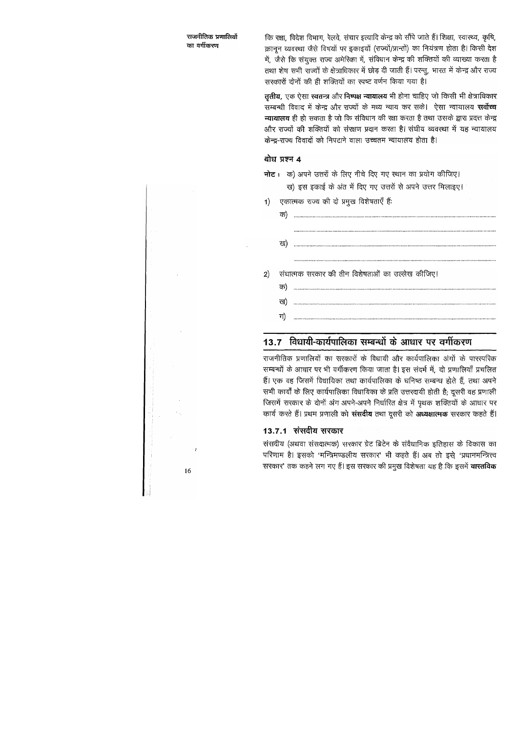कि रक्षा, विदेश विभाग, रेलवे, संचार इत्यादि केन्द्र को सौंपे जाते हैं। शिक्षा, स्वास्थ्य, कृषि, क़ानून व्यवस्था जैसे विषयों पर इकाइयों (राज्यों/प्रान्तों) का नियंत्रण होता है। किसी देश में, जैसे कि संयुक्त राज्य अमेरिका में, संविधान केन्द्र की शक्तियों की व्याख्या करता है तथा शेष सभी राज्यों के क्षेत्राधिकार में छोड़ दी जाती हैं। परन्तु, भारत में केन्द्र और राज्य सरकारों दोनों की ही शक्तियों का स्पष्ट वर्णन किया गया है।

तृतीय, एक ऐसा स्वतन्त्र और निष्पक्ष न्यायालय भी होना चाहिए जो किसी भी क्षेत्राधिकार सम्बन्धी विवाद में केन्द्र और राज्यों के मध्य न्याय कर सके। ऐसा न्यायालय **सर्वोच्च** न्यायालय ही हो सकता है जो कि संविधान की रक्षा करता है तथा उसके द्वारा प्रदत्त केन्द्र और राज्यों की शक्तियों को संरक्षण प्रदान करता है। संघीय व्यवस्था में यह न्यायालय केन्द्र-राज्य विवादों को निपटाने वाला उच्चतम न्यायालय होता है।

### बोध प्रश्न 4

- नोट: क) अपने उत्तरों के लिए नीचे दिए गए स्थान का प्रयोग कीजिए। ख) इस इकाई के अंत में दिए गए उत्तरों से अपने उत्तर मिलाइए।
- 1) एकात्मक राज्य की दो प्रमुख विशेषताएँ हैं:

| संघात्मक सरकार की तीन विशेषताओं का उल्लेख कीजिए। |  |  |
|--------------------------------------------------|--|--|
|                                                  |  |  |
| ख                                                |  |  |
|                                                  |  |  |
|                                                  |  |  |

## 13.7 विधायी-कार्यपालिका सम्बन्धों के आधार पर वर्गीकरण

राजनीतिक प्रणालियों का सरकारों के विधायी और कार्यपालिका अंगों के पारस्परिक सम्बन्धों के आधार पर भी वर्गीकरण किया जाता है। इस संदर्भ में, दो प्रणालियाँ प्रचलित हैं। एक वह जिसमें विधायिका तथा कार्यपालिका के घनिष्ठ सम्बन्ध होते हैं, तथा अपने सभी कार्यों के लिए कार्यपालिका विधायिका के प्रति उत्तरदायी होती है; दूसरी वह प्रणाली जिसमें सरकार के दोनों अंग अपने-अपने निर्धारित क्षेत्र में पृथक शक्तियों के आधार पर कार्य करते हैं। प्रथम प्रणाली को संसदीय तथा दूसरी को अध्यक्षात्मक सरकार कहते हैं।

### 13.7.1 संसदीय सरकार

संसदीय (अथवा संसदात्मक) सरकार ग्रेट ब्रिटेन के संवैधानिक इतिहास के विकास का परिणाम है। इसको 'मन्त्रिमण्डलीय सरकार' भी कहते हैं। अब तो इसे 'प्रधानमन्त्रित्त्व सरकार' तक कहने लग गए हैं। इस सरकार की प्रमुख विशेषता यह है कि इसमें **वारतविक** 

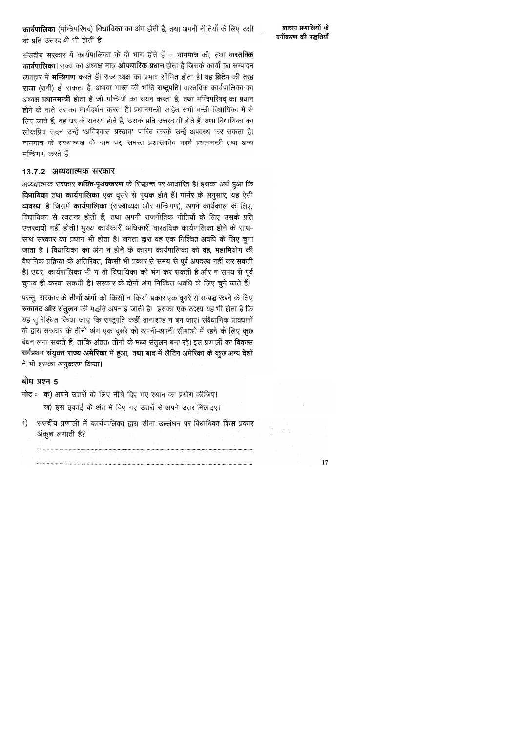### कार्यपालिका (मन्त्रिपरिषद) विधायिका का अंग होती है, तथा अपनी नीतियों के लिए उसी के प्रति उत्तरदायी भी होती है।

शासन प्रणालियों के वर्गीकरण की पद्धतियाँ

संसदीय सरकार में कार्यपालिका के दो भाग होते हैं -- नाममात्र की, तथा वास्तविक कार्यपालिका। राज्य का अध्यक्ष मात्र औपचारिक प्रधान होता है जिसके कार्यों का सम्पादन व्यवहार में **मन्त्रिगण** करते हैं। राज्याध्यक्ष का प्रभाव सीमित होता है। वह ब्रिटेन की तरह राजा (रानी) हो सकता है, अथवा भारत की भांति राष्ट्रपति। वास्तविक कार्यपालिका का अध्यक्ष प्रधानमन्त्री होता है जो मन्त्रियों का चयन करता है, तथा मन्त्रिपरिषद् का प्रधान होने के नाते उसका मार्गदर्शन करता है। प्रधानमन्त्री सहित सभी मन्त्री विधायिका में से लिए जाते हैं, वह उसके सदस्य होते हैं, उसके प्रति उत्तरदायी होते हैं, तथा विधायिका का लोकप्रिय सदन उन्हें 'अविश्वास प्रस्ताव' पारित करके उन्हें अपदस्थ कर सकता है। नाममात्र के राज्याध्यक्ष के नाम पर, समरत प्रशासकीय कार्य प्रधानमन्त्री तथा अन्य मन्त्रिगण करते हैं।

#### 13.7.2 अध्यक्षात्मक सरकार

अध्यक्षात्मक सरकार शक्ति-पृथक्करण के सिद्धान्त पर आधारित है। इसका अर्थ हुआ कि विधायिका तथा कार्यपालिका एक दूसरे से पृथक होते हैं। गार्नर के अनुसार, यह ऐसी व्यवस्था है जिसमें कार्यपालिका (राज्याध्यक्ष और मन्त्रिगण), अपने कार्यकाल के लिए, विधायिका से स्वतन्त्र होती हैं, तथा अपनी राजनीतिक नीतियों के लिए उसके प्रति उत्तरदायी नहीं होती। मुख्य कार्यकारी अधिकारी वास्तविक कार्यपालिका होने के साथ-साथ सरकार का प्रधान भी होता है। जनता द्वारा वह एक निश्चित अवधि के लिए चुना जाता है । विधायिका का अंग न होने के कारण कार्यपालिका को वह, महाभियोग की वैधानिक प्रक्रिया के अतिरिक्त, किसी भी प्रकार से समय से पूर्व अपदस्थ नहीं कर सकती है। उधर, कार्यपालिका भी न तो विधायिका को भंग कर सकती है और न समय से पूर्व चुनाव ही करवा सकती है। सरकार के दोनों अंग निश्चित अवधि के लिए चुने जाते हैं।

परन्तु, सरकार के **तीनों अंगों** को किसी न किसी प्रकार एक दूसरे से सम्बद्ध रखने के लिए रुकावट और संतुलन की पद्धति अपनाई जाती है। इसका एक उद्देश्य यह भी होता है कि यह सुनिश्चित किया जाए कि राष्ट्रपति कहीं तानाशाह न बन जाए। संवैधानिक प्रावधानों के द्वारा सरकार के तीनों अंग एक दूसरे को अपनी-अपनी सीमाओं में रहने के लिए कुछ बंधन लगा सकते हैं, ताकि अंततः तीनों के मध्य संतुलन बना रहे। इस प्रणाली का विकास सर्वप्रथम संयुक्त राज्य अमेरिका में हुआ, तथा बाद में लैटिन अमेरिका के कुछ अन्य देशों ने भी इसका अनुकरण किया।

### बोध प्रश्न 5

- नोट: क) अपने उत्तरों के लिए नीचे दिए गए स्थान का प्रयोग कीजिए। ख) इस इकाई के अंत में दिए गए उत्तरों से अपने उत्तर मिलाइए।
- संसदीय प्रणाली में कार्यपालिका द्वारा सीमा उल्लंघन पर विधायिका किस प्रकार  $\left| \right|$ अंकूश लगाती है?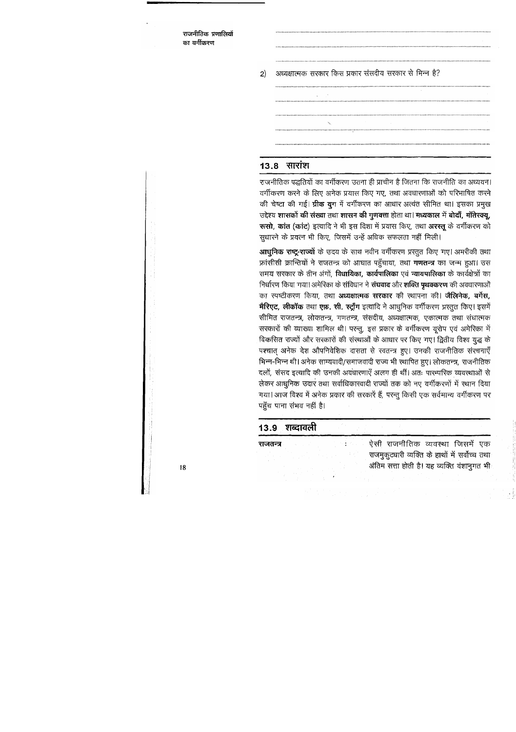> अध्यक्षात्मक सरकार किस प्रकार संसदीय सरकार से भिन्न है?  $2)$

### $13.8$  सारांश

राजनीतिक पद्धतियों का वर्गीकरण उतना ही प्राचीन है जितना कि राजनीति का अध्ययन। वर्गीकरण करने के लिए अनेक प्रयास किए गए, तथा अवधारणाओं को परिभाषित करने की चेष्टा की गई। **ग्रीक युग** में वर्गीकरण का आधार अत्यंत सीमित था। इसका प्रमुख उद्देश्य शासकों की संख्या तथा शासन की गुणवत्ता होता था। मध्यकाल में बोदाँ, मॉतेस्क्यू, रूसो, कांत (कांट) इत्यादि ने भी इस दिशा में प्रयास किए, तथा अररत् के वर्गीकरण को सुधारने के प्रयत्न भी किए, जिसमें उन्हें अधिक सफलता नहीं मिली।

आधूनिक राष्ट्र-राज्यों के उदय के साथ नवीन वर्गीकरण प्रस्तुत किए गए। अमरीकी तथा फ्रांसीसी क्रान्तियों ने राजतन्त्र को आघात पहुँचाया, तथा **गणतन्त्र** का जन्म हुआ। उस समय सरकार के तीन अंगों, विधायिका, कार्यपालिका एवं न्यायपालिका के कार्यक्षेत्रों का निर्धारण किया गया। अमेरिका के संविधान ने संघवाद और शक्ति पृथक्करण की अवधारणाओं का स्पष्टीकरण किया, तथा अध्यक्षात्मक सरकार की स्थापना की। जैलिनेक, बर्गेस, मेरिएट, लीकॉक तथा एफ़. सी. रद्यूँग इत्यादि ने आधुनिक वर्गीकरण प्रस्तुत किए। इसमें सीमित राजतन्त्र, लोकतन्त्र, गणतन्त्र, संसदीय, अध्यक्षात्मक, एकात्मक तथा संघात्मक सरकारों की व्याख्या शामिल थी। परन्तु, इस प्रकार के वर्गीकरण यूरोप एवं अमेरिका में विकसित राज्यों और सरकारों की संस्थाओं के आधार पर किए गए। द्वितीय विश्व युद्ध के पश्चात् अनेक देश औपनिवेशिक दासता से स्वतन्त्र हुए। उनकी राजनीतिक संरचनाएँ भिन्न-भिन्न थी। अनेक साम्यवादी/समाजवादी राज्य भी स्थापित हुए। लोकतन्त्र, राजनीतिक दलों, संसद इत्यादि की उनकी अवधारणाएँ अलग ही थीं। अतः पारम्परिक व्यवस्थाओं से लेकर आधुनिक उदार तथा सर्वाधिकारवादी राज्यों तक को नए वर्गीकरणों में स्थान दिया गया। आज विश्व में अनेक प्रकार की सरकारें हैं, परन्तु किसी एक सर्वमान्य वर्गीकरण पर पहुँच पाना संभव नहीं है।

### 13.9 शब्दावली

ऐसी राजनीतिक व्यवस्था जिसमें एक राजतन्त्र राजमुकुटधारी व्यक्ति के हाथों में सर्वोच्च तथा अंतिम सत्ता होती है। यह व्यक्ति वंशानुगत भी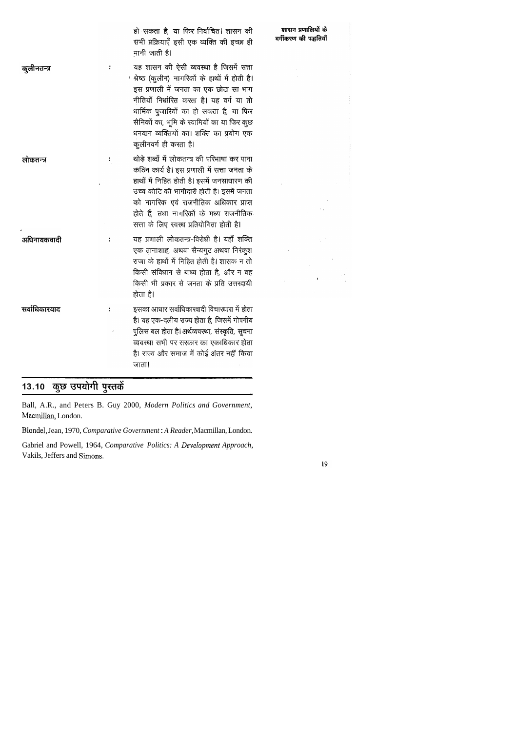|               | हो सकता है, या फिर निर्वाचित। शासन की<br>सभी प्रक्रियाएँ इसी एक व्यक्ति की इच्छा ही<br>मानी जाती है।                                                                                                                                                                                                                                         | शासन प्रणालियों के<br>वर्गीकरण की पद्धतियाँ |
|---------------|----------------------------------------------------------------------------------------------------------------------------------------------------------------------------------------------------------------------------------------------------------------------------------------------------------------------------------------------|---------------------------------------------|
| कुलीनतन्त्र   | यह शासन की ऐसी व्यवस्था है जिसमें सत्ता<br>श्रेष्ठ (कुलीन) नागरिकों के हाथों में होती है।<br>इस प्रणाली में जनता का एक छोटा सा भाग<br>नीतियाँ निर्धारित करता है। यह वर्ग या तो<br>धार्मिक पुजारियों का हो सकता है, या फिर<br>सैनिकों का, भूमि के स्वामियों का या फिर कुछ<br>धनवान व्यक्तियों का। शक्ति का प्रयोग एक<br>कुलीनवर्ग ही करता है। |                                             |
| लोकतन्त्र     | थोड़े शब्दों में लोकतन्त्र की परिभाषा कर पाना<br>कठिन कार्य है। इस प्रणाली में सत्ता जनता के<br>हाथों में निहित होती है। इसमें जनसाधारण की<br>उच्च कोटि की भागीदारी होती है। इसमें जनता<br>को नागरिक एवं राजनीतिक अधिकार प्राप्त<br>होते हैं, तथा नागरिकों के मध्य राजनीतिक<br>सत्ता के लिए स्वस्थ प्रतियोगिता होती है।                      |                                             |
| अधिनायकवादी   | यह प्रणाली लोकतन्त्र-विरोधी है। यहाँ शक्ति<br>एक तानाशाह, अथवा सैन्यगुट अथवा निरंकुश<br>राजा के हाथों में निहित होती है। शासक न तो<br>किसी संविधान से बाध्य होता है, और न वह<br>किसी भी प्रकार से जनता के प्रति उत्तरदायी<br>होता है।                                                                                                        |                                             |
| सर्वाधिकारवाद | इसका आधार सर्वाधिकारवादी विचारधारा में होता<br>है। यह एक-दलीय राज्य होता है, जिसमें गोपनीय<br>पुलिस बल होता है। अर्थव्यवस्था, संस्कृति, सूचना<br>व्यवस्था सभी पर सरकार का एकाधिकार होता<br>है। राज्य और समाज में कोई अंतर नहीं किया<br>जाता।                                                                                                 |                                             |

# 13.10 कुछ उपयोगी पुस्तकें

Ball, A.R., and Peters B. Guy 2000, *Modern Politics and Government,*  Macmillan, London.

Blondel, Jean, 1970, *Comparative Government* : *A Reader,* Macmillan, London.

Gabriel and Powell, 1964, *Comparative Politics: A Development Approach*, Vakils, Jeffers and Simons.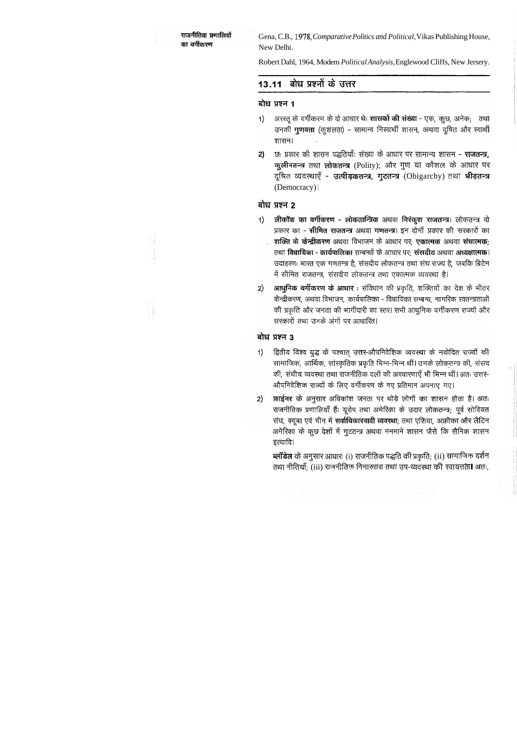Gena, C.B., 1978, Comparative Politics and Political, Vikas Publishing House, New Delhi.

Robert Dahl, 1964, Modern Political Analysis, Englewood Cliffs, New Jersery.

### 13.11 बोध प्रश्नों के उत्तर

### बोध प्रश्न 1

- अरस्तू के वर्गीकरण के दो आधार थेः **शासकों की संख्या** एक, कुछ, अनेक; तथा  $\left( \left| \right| \right)$ उनकी **गुणवत्ता** (कुशलता) – सामान्य निस्वार्थी शासन, अथवा दूषित और स्वार्थी शासन।
- छः प्रकार की शासन पद्धतियाँः संख्या के आधार पर सामान्य शासन **राजतन्त्र,**  $2)$ कुलीनतन्त्र तथा लोकतन्त्र (Polity); और गुण या कौशल के आधार पर दूषित व्यवस्थाएँ - उत्पीड़कतन्त्र, गुटतन्त्र (Obigarchy) तथा भीड़तन्त्र (Democracy) |

### बोध प्रश्न 2

- लीकॉक का वर्गीकरण लोकतान्त्रिक अथवा निरंकूश राजतन्त्र। लोकतन्त्र दो  $1)$ प्रकार का - सीमित राजतन्त्र अथवा गणतन्त्र। इन दोनों प्रकार की सरकारों का शक्ति के केन्द्रीकरण अथवा विभाजन के आधार पर: एकात्मक अथवा संघात्मक: तथा विधायिका - कार्यपालिका सम्बन्धों के आधार पर: संसदीय अथवा अध्यक्षात्मक। उदाहरणः भारत एक गणतन्त्र है, संसदीय लोकतन्त्र तथा संघ राज्य है, जबकि ब्रिटेन में सीमित राजतन्त्र, संसदीय लोकतन्त्र तथा एकात्मक व्यवस्था है।
- आधुनिक वर्गीकरण के आधार : संविधान की प्रकृति, शक्तियों का देश के भीतर  $2)$ केन्द्रीकरण, अथवा विभाजन, कार्यपालिका - विधायिका सम्बन्ध, नागरिक रवतन्त्रताओं की प्रकृति और जनता की भागीदारी का रतर। सभी आधुनिक वर्गीकरण राज्यों और सरकारों तथा उनके अंगों पर आधारित।

### बोध प्रश्न 3

- द्वितीय विश्व युद्ध के पश्चात् उत्तर-औपनिवेशिक व्यवस्था के नवोदित राज्यों की  $\left( \left( \right)$ सामाजिक, आर्थिक, सांस्कृतिक प्रकृति भिन्न-भिन्न थीं। उनके लोकतन्त्र की, संसद की, संघीय व्यवस्था तथा राजनीतिक दलों की अवधारणाएँ भी भिन्न थीं। अतः उत्तर-औपनिवेशिक राज्यों के लिए वर्गीकरण के नए प्रतिमान अपनाए गए।
- फ़ाईनर के अनुसार अधिकांश जनता पर थोड़े लोगों का शासन होता है। अतः  $(2)$ राजनीतिक प्रणालियाँ हैं: यूरोप तथा अमेरिका के उदार लोकतन्त्र; पूर्व सोवियत संघ, क्यूबा एवं चीन में सर्वाधिकारवादी व्यवस्था; तथा एशिया, अफ्रीका और लैटिन अमेरिका के कुछ देशों में गुटतन्त्र अथवा मनमाने शासन जैसे कि सैनिक शासन इत्यादि।

ब्लॉडेल के अनुसार आधारः (i) राजनीतिक पद्धति की प्रकृति; (ii) सामाजिक दर्शन तथा नीतियाँ; (iii) राजनीतिक विचारधारा तथा उप-व्यवस्था की स्वायत्तता। अतः,

e sa também de la constitución de la constitución de la constitución de la constitución de la constitución de<br>La constitución de la constitución de la constitución de la constitución de la constitución de la constitució<br>La